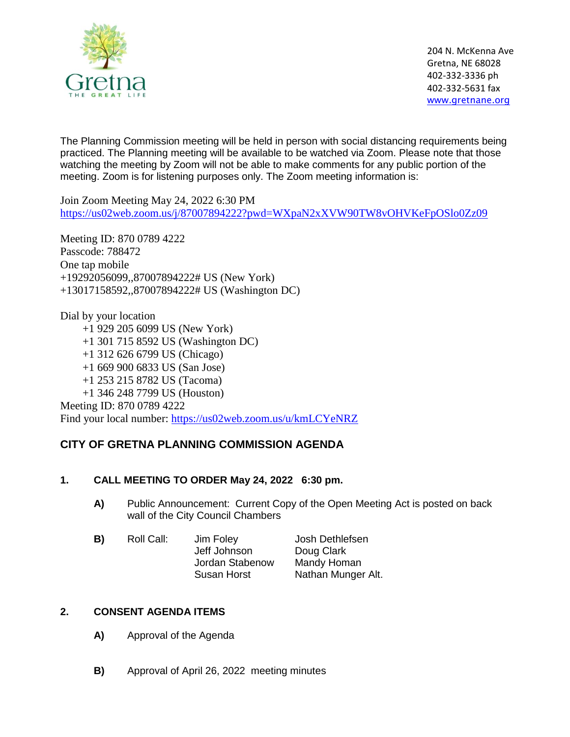

204 N. McKenna Ave Gretna, NE 68028 402-332-3336 ph 402-332-5631 fax [www.gretnane.org](http://www.gretnane.org/)

The Planning Commission meeting will be held in person with social distancing requirements being practiced. The Planning meeting will be available to be watched via Zoom. Please note that those watching the meeting by Zoom will not be able to make comments for any public portion of the meeting. Zoom is for listening purposes only. The Zoom meeting information is:

Join Zoom Meeting May 24, 2022 6:30 PM <https://us02web.zoom.us/j/87007894222?pwd=WXpaN2xXVW90TW8vOHVKeFpOSlo0Zz09>

Meeting ID: 870 0789 4222 Passcode: 788472 One tap mobile +19292056099,,87007894222# US (New York) +13017158592,,87007894222# US (Washington DC)

Dial by your location +1 929 205 6099 US (New York) +1 301 715 8592 US (Washington DC) +1 312 626 6799 US (Chicago) +1 669 900 6833 US (San Jose) +1 253 215 8782 US (Tacoma) +1 346 248 7799 US (Houston) Meeting ID: 870 0789 4222 Find your local number:<https://us02web.zoom.us/u/kmLCYeNRZ>

# **CITY OF GRETNA PLANNING COMMISSION AGENDA**

### **1. CALL MEETING TO ORDER May 24, 2022 6:30 pm.**

**A)** Public Announcement: Current Copy of the Open Meeting Act is posted on back wall of the City Council Chambers

| B) | Roll Call: | Jim Foley          | Josh Dethlefsen    |
|----|------------|--------------------|--------------------|
|    |            | Jeff Johnson       | Doug Clark         |
|    |            | Jordan Stabenow    | Mandy Homan        |
|    |            | <b>Susan Horst</b> | Nathan Munger Alt. |
|    |            |                    |                    |

### **2. CONSENT AGENDA ITEMS**

- **A)** Approval of the Agenda
- **B)** Approval of April 26, 2022 meeting minutes